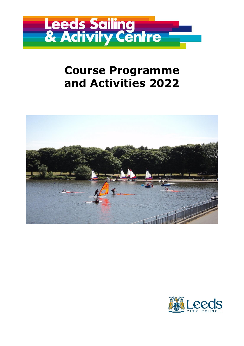

# **Course Programme and Activities 2022**



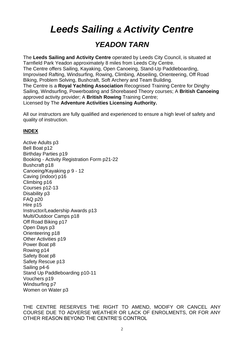*Leeds Sailing & Activity Centre*

# *YEADON TARN*

The **Leeds Sailing and Activity Centre** operated by Leeds City Council, is situated at Tarnfield Park Yeadon approximately 8 miles from Leeds City Centre. The Centre offers Sailing, Kayaking, Open Canoeing, Stand-Up Paddleboarding, Improvised Rafting, Windsurfing, Rowing, Climbing, Abseiling, Orienteering, Off Road Biking, Problem Solving, Bushcraft, Soft Archery and Team Building. The Centre is a **Royal Yachting Association** Recognised Training Centre for Dinghy Sailing, Windsurfing, Powerboating and Shorebased Theory courses; A **British Canoeing** approved activity provider; A **British Rowing** Training Centre; Licensed by The **Adventure Activities Licensing Authority.**

All our instructors are fully qualified and experienced to ensure a high level of safety and quality of instruction.

### **INDEX**

Active Adults p3 Bell Boat p12 Birthday Parties p19 Booking - Activity Registration Form p21-22 Bushcraft p18 Canoeing/Kayaking p 9 - 12 Caving (indoor) p16 Climbing p16 Courses p12-13 Disability p3 FAQ p20 Hire p15 Instructor/Leadership Awards p13 Multi/Outdoor Camps p18 Off Road Biking p17 Open Days p3 Orienteering p18 Other Activities p19 Power Boat p8 Rowing p14 Safety Boat p8 Safety Rescue p13 Sailing p4-6 Stand Up Paddleboarding p10-11 Vouchers p19 Windsurfing p7 Women on Water p3

THE CENTRE RESERVES THE RIGHT TO AMEND, MODIFY OR CANCEL ANY COURSE DUE TO ADVERSE WEATHER OR LACK OF ENROLMENTS, OR FOR ANY OTHER REASON BEYOND THE CENTRE'S CONTROL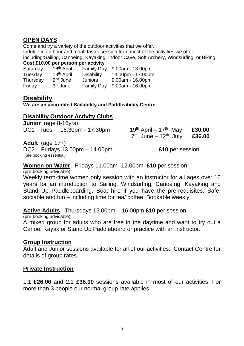# **OPEN DAYS**

Come and try a variety of the outdoor activities that we offer.

Indulge in an hour and a half taster session from most of the activities we offer including:Sailing, Canoeing, Kayaking, Indoor Cave, Soft Archery, Windsurfing, or Biking. **Cost £10.00 per person per activity**

| 16 <sup>th</sup> April | <b>Family Day</b> | $9.00am - 13.00pm$                                                  |
|------------------------|-------------------|---------------------------------------------------------------------|
| 19 <sup>th</sup> April | <b>Disability</b> | 14.00pm - 17.00pm                                                   |
| $2nd$ June             |                   | $9.00am - 16.00pm$                                                  |
| 3rd June               |                   | $9.00$ am - 16.00pm                                                 |
|                        |                   | COST 210.00 per person per activity<br>Juniors<br><b>Family Day</b> |

# **Disability**

**We are an accredited Sailability and Paddleability Centre.**

# **Disability Outdoor Activity Clubs**

**Junior** (age 8-16yrs) DC1 Tues 16.30pm - 17.30pm

| 19 <sup>th</sup> April – 17 <sup>th</sup> May | £30.00 |
|-----------------------------------------------|--------|
| $7th$ June – 12 <sup>th</sup> July            | £36.00 |

### **Adult** (age 17+)

DC2 Fridays 13.00pm – 14.00pm **£10** per session (pre booking essential)

### **Women on Water** Fridays 11.00am -12.00pm **£10** per session

(pre-booking advisable)

Weekly term-time women only session with an instructor for all ages over 16 years for an introduction to Sailing, Windsurfing, Canoeing, Kayaking and Stand Up Paddleboarding. Boat hire if you have the pre-requisites. Safe, sociable and fun – including time for tea/ coffee. Bookable weekly.

**Active Adults** Thursdays 15.00pm – 16.00pm **£10** per session

(pre-booking advisable)

A mixed group for adults who are free in the daytime and want to try out a Canoe, Kayak or Stand Up Paddleboard or practice with an instructor.

### **Group Instruction**

Adult and Junior sessions available for all of our activities. Contact Centre for details of group rates.

### **Private Instruction**

1:1 **£26.00** and 2:1 **£36.00** sessions available in most of our activities. For more than 3 people our normal group rate applies.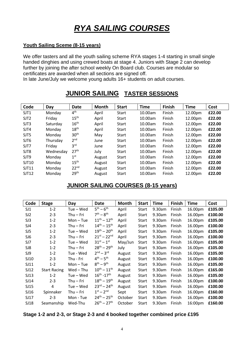# *RYA SAILING COURSES*

#### **Youth Sailing Sceme (8-15 years)**

We offer tasters and all the youth sailing scheme RYA stages 1-4 starting in small single handed dinghies and using crewed boats at stage 4. Juniors with Stage 2 can develop further by joining the after school weekly On Board club. Courses are modular so certificates are awarded when all sections are signed off.

In late June/July we welcome young adults 16+ students on adult courses.

# **JUNIOR SAILING TASTER SESSIONS**

| Code             | Day       | Date             | <b>Month</b> | <b>Start</b> | <b>Time</b> | Finish | <b>Time</b> | Cost   |
|------------------|-----------|------------------|--------------|--------------|-------------|--------|-------------|--------|
| SJT1             | Monday    | 4 <sup>th</sup>  | April        | <b>Start</b> | 10.00am     | Finish | 12.00pm     | £22.00 |
| SJT <sub>2</sub> | Friday    | 15 <sup>th</sup> | April        | <b>Start</b> | 10.00am     | Finish | 12.00pm     | £22.00 |
| SJT3             | Saturday  | 16 <sup>th</sup> | April        | <b>Start</b> | 10.00am     | Finish | 12.00pm     | £22.00 |
| SJT4             | Monday    | 18 <sup>th</sup> | April        | <b>Start</b> | 10.00am     | Finish | 12.00pm     | £22.00 |
| SJT5             | Monday    | 30 <sup>th</sup> | May          | Start        | 10.00am     | Finish | 12.00pm     | £22.00 |
| SJT6             | Thursday  | 2 <sup>nd</sup>  | June         | <b>Start</b> | 10.00am     | Finish | 12.00pm     | £22.00 |
| SJT7             | Friday    | 3 <sup>rd</sup>  | June         | <b>Start</b> | 10.00am     | Finish | 12.00pm     | £22.00 |
| SJT8             | Wednesday | 27 <sup>th</sup> | July         | <b>Start</b> | 10.00am     | Finish | 12.00pm     | £22.00 |
| SJT9             | Monday    | 1 <sup>st</sup>  | August       | <b>Start</b> | 10.00am     | Finish | 12.00pm     | £22.00 |
| SJT10            | Monday    | 15 <sup>th</sup> | August       | <b>Start</b> | 10.00am     | Finish | 12.00pm     | £22.00 |
| SJT11            | Monday    | 22 <sup>nd</sup> | August       | <b>Start</b> | 10.00am     | Finish | 12.00pm     | £22.00 |
| SJT12            | Monday    | 29 <sup>th</sup> | August       | <b>Start</b> | 10.00am     | Finish | 12.00pm     | £22.00 |

# **JUNIOR SAILING COURSES (8-15 years)**

| Code            | <b>Stage</b>        | Day         | Date                              | <b>Month</b> | <b>Start</b> | Time   | Finish | Time    | Cost    |
|-----------------|---------------------|-------------|-----------------------------------|--------------|--------------|--------|--------|---------|---------|
| SJ1             | $1 - 2$             | Tue – Wed   | $5^{th} - 6^{th}$                 | April        | Start        | 9.30am | Finish | 16.00pm | £105.00 |
| SJ <sub>2</sub> | $2 - 3$             | Thu – Fri   | $7th - 8th$                       | April        | Start        | 9.30am | Finish | 16.00pm | £100.00 |
| SJ3             | $1 - 2$             | $Mon - Tue$ | $11^{th} - 12^{th}$               | April        | Start        | 9.30am | Finish | 16.00pm | £105.00 |
| SJ4             | $2 - 3$             | Thu – Fri   | $14^{th} - 15^{th}$               | April        | Start        | 9.30am | Finish | 16.00pm | £100.00 |
| SJ <sub>5</sub> | $1 - 2$             | Tue – Wed   | $19^{th} - 20^{th}$               | April        | Start        | 9.30am | Finish | 16.00pm | £105.00 |
| SJ6             | $2 - 3$             | Thu – Fri   | $21^{st} - 22^{nd}$               | April        | Start        | 9.30am | Finish | 16.00pm | £100.00 |
| SJ7             | $1 - 2$             | Tue – Wed   | $31^{st} - 1^{st}$                | May/Jun      | Start        | 9.30am | Finish | 16.00pm | £105.00 |
| SJ8             | $1 - 2$             | Thu – Fri   | $28^{th} - 29^{th}$               | July         | Start        | 9.30am | Finish | 16.00pm | £105.00 |
| SJ9             | $1 - 2$             | Tue - Wed   | $2^{nd} - 3^{rd}$                 | August       | Start        | 9.30am | Finish | 16.00pm | £105.00 |
| SJ10            | $2 - 3$             | Thu - Fri   | $4^{th} - 5^{th}$                 | August       | Start        | 9.30am | Finish | 16.00pm | £100.00 |
| SJ11            | $1 - 2$             | $Mon - Tue$ | $8^{th} - 9^{th}$                 | August       | <b>Start</b> | 9.30am | Finish | 16.00pm | £105.00 |
| SJ12            | <b>Start Racing</b> | Wed – Thu   | $10^{th} - 11^{th}$               | August       | Start        | 9.30am | Finish | 16.00pm | £165.00 |
| SJ13            | $1 - 2$             | Tue – Wed   | $16^{th}$ -17 <sup>th</sup>       | August       | Start        | 9.30am | Finish | 16.00pm | £105.00 |
| SJ14            | $2 - 3$             | Thu – Fri   | $18^{th} - 19^{th}$               | August       | Start        | 9.30am | Finish | 16.00pm | £100.00 |
| SJ15            | 4                   | Tue – Wed   | $23^{\text{rd}} - 24^{\text{th}}$ | August       | Start        | 9.30am | Finish | 16.00pm | £100.00 |
| SJ16            | Spinnaker           | Thu – Fri   | $1^{st} - 2^{nd}$                 | Sept         | Start        | 9.30am | Finish | 16.00pm | £160.00 |
| SJ17            | $2 - 3$             | Mon - Tue   | $24^{th} - 25^{th}$               | October      | Start        | 9.30am | Finish | 16.00pm | £100.00 |
| SJ18            | Seamanship          | Wed-Thu     | $26^{th} - 27^{th}$               | October      | Start        | 9.30am | Finish | 16:00pm | £160.00 |

**Stage 1-2 and 2-3, or Stage 2-3 and 4 booked together combined price £195**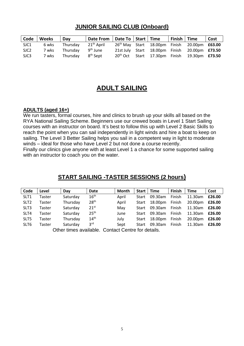# **JUNIOR SAILING CLUB (Onboard)**

| Code             | Weeks | Day      | Date From   Date To   Start   Time |                      |                                | Finish   Time |                                                                 | Cost |
|------------------|-------|----------|------------------------------------|----------------------|--------------------------------|---------------|-----------------------------------------------------------------|------|
| SJC1             | 6 wks | Thursdav | 21 <sup>th</sup> April             |                      |                                |               | 26 <sup>th</sup> May Start 18.00pm Finish 20.00pm <b>£63.00</b> |      |
| SJC <sub>2</sub> | 7 wks | Thursdav | 9 <sup>th</sup> June               |                      | 21st July Start 18.00pm Finish |               | 20.00pm <b>£73.50</b>                                           |      |
| SJC3             | 7 wks | Thursday | 8 <sup>th</sup> Sept               | 20 <sup>th</sup> Oct | Start 17.30pm Finish           |               | 19.30pm <b>£73.50</b>                                           |      |

# **ADULT SAILING**

#### **ADULTS (aged 16+)**

We run tasters, formal courses, hire and clinics to brush up your skills all based on the RYA National Sailing Scheme. Beginners use our crewed boats in Level 1 Start Sailing courses with an instructor on board. It's best to follow this up with Level 2 Basic Skills to reach the point when you can sail independently in light winds and hire a boat to keep on sailing. The Level 3 Better Sailing helps you sail in a competent way in light to moderate winds – ideal for those who have Level 2 but not done a course recently.

Finally our clinics give anyone with at least Level 1 a chance for some supported sailing with an instructor to coach you on the water.

| Code                                               | Level  | Day      | Date             | Month | Start | <b>Time</b> | <b>Finish</b> | <b>Time</b> | Cost   |
|----------------------------------------------------|--------|----------|------------------|-------|-------|-------------|---------------|-------------|--------|
| SLT <sub>1</sub>                                   | Taster | Saturday | 16 <sup>th</sup> | April | Start | 09.30am     | Finish        | 11.30am     | £26.00 |
| SLT <sub>2</sub>                                   | Taster | Thursday | 28 <sup>th</sup> | April | Start | 18.00pm     | Finish        | 20.00pm     | £26.00 |
| SLT <sub>3</sub>                                   | Taster | Saturday | 21 <sup>st</sup> | May   | Start | 09.30am     | Finish        | 11.30am     | £26.00 |
| SLT4                                               | Taster | Saturday | 25 <sup>th</sup> | June  | Start | 09.30am     | Finish        | 11.30am     | £26.00 |
| SLT5                                               | Taster | Thursday | 14 <sup>th</sup> | July  | Start | 18.00pm     | Finish        | 20.00pm     | £26.00 |
| SLT6                                               | Taster | Saturday | 3 <sup>rd</sup>  | Sept  | Start | 09.30am     | Finish        | 11.30am     | £26.00 |
| Other times available. Contact Centre for details. |        |          |                  |       |       |             |               |             |        |

### **START SAILING -TASTER SESSIONS (2 hours)**

Other times available. Contact Centre for details.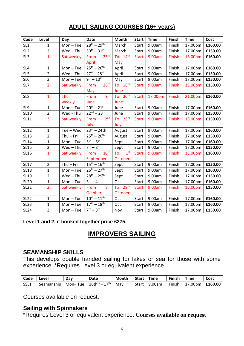# **ADULT SAILING COURSES (16+ years)**

| Code            | Level          | Day         | <b>Date</b>                     | Month                 | <b>Start</b> | <b>Time</b> | Finish | <b>Time</b> | Cost    |
|-----------------|----------------|-------------|---------------------------------|-----------------------|--------------|-------------|--------|-------------|---------|
| SL <sub>1</sub> | $\mathbf{1}$   | $Mon - Tue$ | $28^{th} - 29^{th}$             | March                 | Start        | 9.00am      | Finish | 17.00pm     | £160.00 |
| SL <sub>2</sub> | $\overline{2}$ | Wed-Thu     | $30^{th} - 31^{st}$             | March                 | Start        | 9.00am      | Finish | 17.00pm     | £150.00 |
| SL <sub>3</sub> | $\mathbf{1}$   | Sat weekly  | 23 <sup>rd</sup><br>From        | To 14th               | <b>Start</b> | 9.00am      | Finish | 13.00pm     | £160.00 |
|                 |                |             | April                           | May                   |              |             |        |             |         |
| SL <sub>4</sub> | $\mathbf{1}$   | $Mon - Tue$ | $25^{th} - 26^{th}$             | April                 | Start        | 9.00am      | Finish | 17.00pm     | £160.00 |
| SL <sub>5</sub> | $\overline{2}$ | Wed-Thu     | $27^{th} - 28^{th}$             | April                 | Start        | 9.00am      | Finish | 17.00pm     | £150.00 |
| SL <sub>6</sub> | 3              | $Mon - Tue$ | $9^{th} - 10^{th}$              | May                   | Start        | 9.00am      | Finish | 17.00pm     | £150.00 |
| SL7             | $\overline{2}$ | Sat weekly  | 28 <sup>th</sup><br>From        | To 18th               | <b>Start</b> | 9.00am      | Finish | 13.00pm     | £150.00 |
|                 |                |             | May                             | June                  |              |             |        |             |         |
| SL8             | $\mathbf{1}$   | Thu         | gth<br>From                     | To 30 <sup>th</sup>   | <b>Start</b> | 17.00pm     | Finish | 21.00pm     | £160.00 |
|                 |                | weekly      | June                            | June                  |              |             |        |             |         |
| SL9             | $\mathbf{1}$   | Mon-Tue     | $20^{th} - 21^{st}$             | June                  | Start        | 9.00am      | Finish | 17.00pm     | £160.00 |
| <b>SL10</b>     | $\overline{2}$ | Wed - Thu   | $22^{nd} - 23^{rd}$             | June                  | <b>Start</b> | 9.00am      | Finish | 17.00pm     | £150.00 |
| SL11            | $\overline{3}$ | Sat weekly  | 2 <sub>nd</sub><br>From         | To $23^{rd}$          | <b>Start</b> | 9.00am      | Finish | 13.00pm     | £150.00 |
|                 |                |             | July                            | July                  |              |             |        |             |         |
| <b>SL12</b>     | $\mathbf{1}$   | $Tue - Wed$ | $23^{rd} - 24th$                | August                | Start        | 9.00am      | Finish | 17.00pm     | £160.00 |
| <b>SL13</b>     | $\overline{2}$ | $Thu - Fri$ | $25^{th} - 26^{th}$             | August                | Start        | 9.00am      | Finish | 17.00pm     | £150.00 |
| <b>SL14</b>     | $\mathbf{1}$   | $Mon - Tue$ | $5^{th} - 6^{th}$               | Sept                  | Start        | 9.00am      | Finish | 17.00pm     | £160.00 |
| <b>SL15</b>     | $\overline{2}$ | Wed-Thu     | $7th - 8th$                     | Sept                  | Start        | 9.00am      | Finish | 17.00pm     | £150.00 |
| <b>SL16</b>     | $\mathbf{1}$   | Sat weekly  | 10 <sup>th</sup><br>From        | 1 <sup>st</sup><br>To | <b>Start</b> | 9.00am      | Finish | 13.00pm     | £160.00 |
|                 |                |             | September                       | October               |              |             |        |             |         |
| <b>SL17</b>     | $\overline{2}$ | $Thu - Fri$ | $15^{th} - 16^{th}$             | Sept                  | Start        | 9.00am      | Finish | 17.00pm     | £150.00 |
| <b>SL18</b>     | $\mathbf{1}$   | $Mon - Tue$ | $26^{th} - 27^{th}$             | Sept                  | Start        | 9.00am      | Finish | 17.00pm     | £160.00 |
| <b>SL19</b>     | $\overline{2}$ | Wed-Thu     | $28^{th} - 29^{th}$             | Sept                  | <b>Start</b> | 9.00am      | Finish | 17.00pm     | £150.00 |
| <b>SL20</b>     | $\mathbf{1}$   | $Mon - Tue$ | $3^{\text{rd}} - 4^{\text{th}}$ | Oct                   | Start        | 9.00am      | Finish | 17.00pm     | £160.00 |
| <b>SL21</b>     | $\overline{2}$ | Sat weekly  | 8 <sup>th</sup><br>From         | To 29th               | <b>Start</b> | 9.00am      | Finish | 13.00pm     | £150.00 |
|                 |                |             | October                         | October               |              |             |        |             |         |
| <b>SL22</b>     | $\mathbf{1}$   | $Mon - Tue$ | $10^{th} - 11^{th}$             | Oct                   | Start        | 9.00am      | Finish | 17.00pm     | £160.00 |
| <b>SL23</b>     | $\mathbf{1}$   | $Mon - Tue$ | $17^{th} - 18^{th}$             | Oct                   | Start        | 9.00am      | Finish | 17.00pm     | £160.00 |
| <b>SL24</b>     | $\overline{3}$ | $Mon - Tue$ | $7th - 8th$                     | Nov                   | <b>Start</b> | 9.00am      | Finish | 17.00pm     | £150.00 |

**Level 1 and 2, if booked together price £275.**

# **IMPROVERS SAILING**

### **SEAMANSHIP SKILLS**

This develops double handed sailing for lakes or sea for those with some experience. \*Requires Level 3 or equivalent experience.

| Code   Level |                                                                  | Dav | Date |  | Month   Start   Time   Finish   Time |                                     | Cost |
|--------------|------------------------------------------------------------------|-----|------|--|--------------------------------------|-------------------------------------|------|
|              | SSL1 Seamanship Mon-Tue 16th <sup>th</sup> -17 <sup>th</sup> May |     |      |  |                                      | Start 9.00am Finish 17.00pm £160.00 |      |

Courses available on request.

# **Sailing with Spinnakers**

\*Requires Level 3 or equivalent experience. **Courses available on request**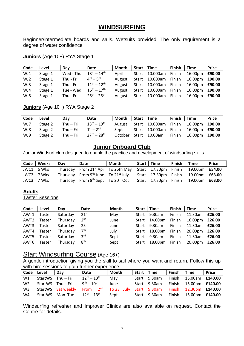# **WINDSURFING**

Beginner/intermediate boards and sails. Wetsuits provided. The only requirement is a degree of water confidence

**Juniors** (Age 10+) RYA Stage 1

| Code | Level   | Dav       | Date                              | Month  | Start | Time     | <b>Finish</b> | <b>Time</b> | <b>Price</b> |
|------|---------|-----------|-----------------------------------|--------|-------|----------|---------------|-------------|--------------|
| WJ1  | Stage 1 | Wed - Thu | $13^{th} - 14^{th}$               | April  | Start | 10.000am | Finish        | 16.00pm     | £90.00       |
| WJ2  | Stage 1 | Thu - Fri | $4^{th} - 5^{th}$                 | August | Start | 10.000am | Finish        | 16.00pm     | £90.00       |
| WJ3  | Stage 1 | Thu - Fri | $11^{th} - 12^{th}$               | August | Start | 10.000am | Finish        | 16.00pm     | £90.00       |
| WJ4  | Stage 1 | Tue - Wed | $16^{\text{th}} - 17^{\text{th}}$ | August | Start | 10.000am | Finish        | 16.00pm     | £90.00       |
| WJ5  | Stage 1 | Thu - Fri | $25^{th} - 26^{th}$               | August | Start | 10.000am | Finish        | 16.00pm     | £90.00       |

**Juniors** (Age 10+) RYA Stage 2

| Code | Level   | Day         | Date                | <b>Month</b> | Start   Time |                | <b>Finish</b> | <b>Time</b>           | <b>Price</b> |
|------|---------|-------------|---------------------|--------------|--------------|----------------|---------------|-----------------------|--------------|
| WJ7  | Stage 2 | Thu – Fri   | $18^{th} - 19^{th}$ | August       |              | Start 10.000am | Finish        | 16.00pm <b>£90.00</b> |              |
| WJ8  | Stage 2 | Thu $-$ Fri | $1^{st} - 2^{nd}$   | Sept         |              | Start 10.000am | Finish        | 16.00pm <b>£90.00</b> |              |
| WJ9  | Stage 2 | Thu $-$ Fri | $27^{th} - 28^{th}$ | October      |              | Start 10.00am  | Finish        | 16.00pm               | £90.00       |

### **Junior Onboard Club**

Junior Windsurf club designed to enable the practice and development of windsurfing skills.

| $Code \vert$ | Weeks      | Day | Date                                                                               | Month | Start   Time |                      | Finish Time |                       | <b>Price</b> |
|--------------|------------|-----|------------------------------------------------------------------------------------|-------|--------------|----------------------|-------------|-----------------------|--------------|
|              | JWC1 6 Wks |     | Thursday From 21 <sup>st</sup> Apr To 26th May Start 17.30pm Finish 19.00pm £54.00 |       |              |                      |             |                       |              |
|              | JWC2 7 Wks |     | Thursday From 9th June To 21st July Start 17.30pm Finish 19.00pm £63.00            |       |              |                      |             |                       |              |
|              | JWC3 7 Wks |     | Thursday From 8 <sup>th</sup> Sept To 20 <sup>th</sup> Oct                         |       |              | Start 17.30pm Finish |             | 19.00pm <b>£63.00</b> |              |

#### **Adults**

Taster Sessions

| Code | Level  | Dav      | <b>Date</b>      | Month | Start | <b>Time</b>  | Finish        | Time    | <b>Price</b> |
|------|--------|----------|------------------|-------|-------|--------------|---------------|---------|--------------|
| AWT1 | Taster | Saturday | $21^{st}$        | May   | Start | 9.30am       | Finish        | 11.30am | £26.00       |
| AWT2 | Taster | Thursday | 2 <sup>nd</sup>  | June  | Start | 14.00pm      | Finish        | 16.00pm | £26.00       |
| AWT3 | Taster | Saturday | 25 <sup>th</sup> | June  |       | Start 9.30am | Finish        | 11.30am | £26.00       |
| AWT4 | Taster | Thursday | 7 <sup>th</sup>  | July  | Start | 18.00pm      | <b>Finish</b> | 20.00pm | £26.00       |
| AWT5 | Taster | Saturday | 3 <sup>rd</sup>  | Sept  | Start | 9.30am       | Finish        | 11.30am | £26.00       |
| AWT6 | Taster | Thursday | 8 <sup>th</sup>  | Sept  | Start | 18.00pm      | Finish        | 20.00pm | £26.00       |

### Start Windsurfing Course (Age 16+)

A gentle introduction giving you the skill to sail where you want and return. Follow this up with hire sessions to gain further experience.

|                | Code Level | Dav                                                 | <b>Date</b>                                                                   | <b>Month</b> | Start   Time |              | Finish | <b>Time</b>                   | <b>Price</b> |
|----------------|------------|-----------------------------------------------------|-------------------------------------------------------------------------------|--------------|--------------|--------------|--------|-------------------------------|--------------|
| W1             |            | StartWS Thu-Fri                                     | $12^{th} - 13^{th}$                                                           | May          |              | Start 9.30am |        | Finish 15.00am £140.00        |              |
| W <sub>2</sub> |            | StartWS Thu - Fri                                   | $9^{th} - 10^{th}$                                                            | June         |              | Start 9.30am |        | Finish 15.00pm £140.00        |              |
| W <sub>3</sub> |            |                                                     | StartWS Sat weekly From 2 <sup>nd</sup> To 23 <sup>rd</sup> July Start 9.30am |              |              |              |        | Finish 12.30pm <b>£140.00</b> |              |
| W4             |            | StartWS Mon-Tue 12 <sup>th</sup> - 13 <sup>th</sup> |                                                                               | Sept         |              | Start 9.30am |        | Finish 15.00pm <b>£140.00</b> |              |

Windsurfing refresher and Improver Clinics are also available on request. Contact the Centre for details.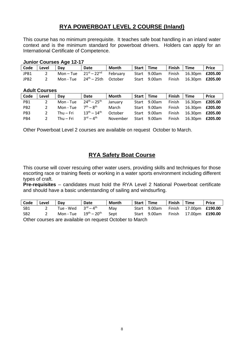# **RYA POWERBOAT LEVEL 2 COURSE (Inland)**

This course has no minimum prerequisite. It teaches safe boat handling in an inland water context and is the minimum standard for powerboat drivers. Holders can apply for an International Certificate of Competence.

#### **Junior Courses Age 12-17**

| Code             | Level | Dav       | Date                            | Month | Start   Time |              | Finish | Time                   | <b>Price</b> |
|------------------|-------|-----------|---------------------------------|-------|--------------|--------------|--------|------------------------|--------------|
| JPB1             |       | Mon – Tue | $21^{st}-22^{nd}$ February      |       |              | Start 9.00am | Finish | 16.30pm <b>£205.00</b> |              |
| JPB <sub>2</sub> |       | Mon - Tue | 24 <sup>th</sup> – 25th October |       |              | Start 9.00am | Finish | 16.30pm <b>£205.00</b> |              |

#### **Adult Courses**

| Code            | Level         | Dav         | Date                            | Month    | Start | <b>Time</b>  | <b>Finish</b> | Time                   | <b>Price</b> |
|-----------------|---------------|-------------|---------------------------------|----------|-------|--------------|---------------|------------------------|--------------|
| PB1             |               | Mon - Tue   | $24^{th} - 25^{th}$             | January  |       | Start 9.00am | Finish        | 16.30pm <b>£205.00</b> |              |
| PB <sub>2</sub> | 2             | Mon - Tue   | $7th - 8th$                     | March    |       | Start 9.00am | Finish        | 16.30pm <b>£205.00</b> |              |
| PB <sub>3</sub> | 2             | $Thu - Fri$ | $13^{th} - 14^{th}$             | October  |       | Start 9.00am | Finish        | 16.30pm <b>£205.00</b> |              |
| PB4             | $\mathcal{D}$ | Thu $-$ Fri | $3^{\text{rd}} - 4^{\text{th}}$ | November |       | Start 9.00am | Finish        | 16.30pm                | £205.00      |

Other Powerboat Level 2 courses are available on request October to March.

### **RYA Safety Boat Course**

This course will cover rescuing other water users, providing skills and techniques for those escorting race or training fleets or working in a water sports environment including different types of craft.

**Pre-requisites** – candidates must hold the RYA Level 2 National Powerboat certificate and should have a basic understanding of sailing and windsurfing.

| Code Level      |   | Dav                                       | Date | Month                       | Start   Time | Finish Time |                                     | <b>Price</b> |
|-----------------|---|-------------------------------------------|------|-----------------------------|--------------|-------------|-------------------------------------|--------------|
| -SB1            | 2 | Tue - Wed $3^{\text{rd}} - 4^{\text{th}}$ |      | Mav                         | Start 9.00am |             | Finish 17.00pm <b>£190.00</b>       |              |
| SB <sub>2</sub> |   | Mon-Tue $19th - 20th$ Sept                |      |                             |              |             | Start 9.00am Finish 17.00pm £190.00 |              |
|                 |   |                                           |      | $\sim$ $\sim$ $\sim$ $\sim$ |              |             |                                     |              |

Other courses are available on request October to March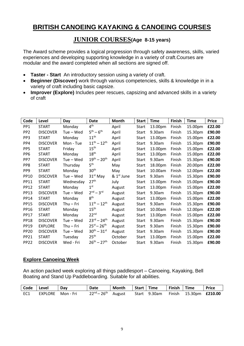# **BRITISH CANOEING KAYAKING & CANOEING COURSES**

### **JUNIOR COURSES(Age 8-15 years)**

The Award scheme provides a logical progression through safety awareness, skills, varied experiences and developing supporting knowledge in a variety of craft.Courses are modular and the award completed when all sections are signed off.

- **Taster - Start** An introductory session using a variety of craft.
- **Beginner (Discover)** work through various competencies, skills & knowledge in in a variety of craft including basic capsize.
- **Improver (Explore)** Includes peer rescues, capsizing and advanced skills in a variety of craft

| Code            | Level           | Day       | Date                              | Month                  | <b>Start</b> | Time    | Finish | <b>Time</b> | <b>Price</b> |
|-----------------|-----------------|-----------|-----------------------------------|------------------------|--------------|---------|--------|-------------|--------------|
| PP <sub>1</sub> | <b>START</b>    | Monday    | $4^{\text{th}}$                   | April                  | Start        | 13.00pm | Finish | 15.00pm     | £22.00       |
| PP <sub>2</sub> | <b>DISCOVER</b> | Tue – Wed | $5^{th} - 6^{th}$                 | April                  | Start        | 9.30am  | Finish | 15.30pm     | £90.00       |
| PP <sub>3</sub> | <b>START</b>    | Monday    | 11 <sup>th</sup>                  | April                  | Start        | 13.00pm | Finish | 15.00pm     | £22.00       |
| PP4             | <b>DISCOVER</b> | Mon - Tue | $11^{th} - 12^{th}$               | April                  | Start        | 9.30am  | Finish | 15.30pm     | £90.00       |
| PP <sub>5</sub> | <b>START</b>    | Friday    | 15 <sup>th</sup>                  | April                  | Start        | 13.00pm | Finish | 15.00pm     | £22.00       |
| PP <sub>6</sub> | <b>START</b>    | Monday    | 18 <sup>th</sup>                  | April                  | <b>Start</b> | 13.00pm | Finish | 15.00pm     | £22.00       |
| PP7             | <b>DISCOVER</b> | Tue – Wed | $19^{th} - 20^{th}$               | April                  | Start        | 9.30am  | Finish | 15.30pm     | £90.00       |
| PP8             | <b>START</b>    | Thursday  | 5 <sup>th</sup>                   | May                    | <b>Start</b> | 18.00pm | Finish | 20.00pm     | £22.00       |
| PP <sub>9</sub> | <b>START</b>    | Monday    | 30 <sup>th</sup>                  | May                    | Start        | 10.00am | Finish | 12.00pm     | £22.00       |
| PP10            | <b>DISCOVER</b> | Tue – Wed | $31st$ May                        | & 1 <sup>st</sup> June | Start        | 9.30am  | Finish | 15.30pm     | £90.00       |
| PP11            | <b>START</b>    | Wednesday | 27 <sup>th</sup>                  | July                   | Start        | 13.00pm | Finish | 15.00pm     | £90.00       |
| <b>PP12</b>     | <b>START</b>    | Monday    | 1 <sup>st</sup>                   | August                 | <b>Start</b> | 13.00pm | Finish | 15.00pm     | £22.00       |
| <b>PP13</b>     | <b>DISCOVER</b> | Tue – Wed | $2nd - 3rd$                       | August                 | Start        | 9.30am  | Finish | 15.30pm     | £90.00       |
| PP14            | <b>START</b>    | Monday    | 8 <sup>th</sup>                   | August                 | <b>Start</b> | 13.00pm | Finish | 15.00pm     | £22.00       |
| <b>PP15</b>     | <b>DISCOVER</b> | Thu – Fri | $11^{th} - 12^{th}$               | August                 | Start        | 9.30am  | Finish | 15.30pm     | £90.00       |
| <b>PP16</b>     | <b>START</b>    | Monday    | 15 <sup>th</sup>                  | August                 | <b>Start</b> | 10.00am | Finish | 12.00pm     | £22.00       |
| <b>PP17</b>     | <b>START</b>    | Monday    | 22 <sup>nd</sup>                  | August                 | Start        | 13.00pm | Finish | 15.00pm     | £22.00       |
| <b>PP18</b>     | <b>DISCOVER</b> | Tue – Wed | $23^{\text{rd}} - 24^{\text{th}}$ | August                 | Start        | 9.30am  | Finish | 15.30pm     | £90.00       |
| <b>PP19</b>     | <b>EXPLORE</b>  | Thu – Fri | $25^{st} - 26^{th}$               | August                 | Start        | 9.30am  | Finish | 15.30pm     | £90.00       |
| <b>PP20</b>     | <b>DISCOVER</b> | Tue – Wed | $30^{th} - 31^{st}$               | August                 | Start        | 9.30am  | Finish | 15.30pm     | £90.00       |
| <b>PP21</b>     | <b>START</b>    | Tuesday   | 25 <sup>th</sup>                  | October                | Start        | 13.00pm | Finish | 15.00pm     | £22.00       |
| <b>PP22</b>     | <b>DISCOVER</b> | Wed - Fri | $26^{th} - 27^{th}$               | October                | Start        | 9.30am  | Finish | 15.30pm     | £90.00       |

#### **Explore Canoeing Week**

An action packed week exploring all things paddlesport – Canoeing, Kayaking, Bell Boating and Stand Up Paddleboarding. Suitable for all abilities.

| Code   Level |                   | Dav | Date                       | Month | Start   Time | Finish   Time |                                            | l Price |
|--------------|-------------------|-----|----------------------------|-------|--------------|---------------|--------------------------------------------|---------|
| EC1          | EXPLORE Mon - Fri |     | $22^{nd} - 26^{th}$ August |       |              |               | Start 9.30am Finish 15.30pm <b>£210.00</b> |         |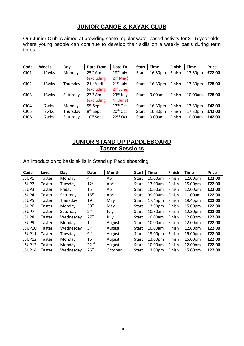## **JUNIOR CANOE & KAYAK CLUB**

Our Junior Club is aimed at providing some regular water based activity for 8-15 year olds, where young people can continue to develop their skills on a weekly basis during term times.

| Code             | <b>Weeks</b> | Day      | Date From              | Date To              | <b>Start</b> | <b>Time</b> | <b>Finish</b> | <b>Time</b> | <b>Price</b> |
|------------------|--------------|----------|------------------------|----------------------|--------------|-------------|---------------|-------------|--------------|
| CJC1             | 12wks        | Monday   | 25 <sup>th</sup> April | $18th$ July          | <b>Start</b> | 16.30pm     | Finish        | 17.30pm     | £72.00       |
|                  |              |          | (excluding             | $2nd$ May)           |              |             |               |             |              |
| CJC <sub>2</sub> | 13wks        | Thursday | 21 <sup>st</sup> April | $21st$ July          | Start        | 16.30pm     | Finish        | 17.30pm     | £78.00       |
|                  |              |          | (excluding             | $2nd$ June)          |              |             |               |             |              |
| CJC <sub>3</sub> | 13wks        | Saturday | 23 <sup>rd</sup> April | $23rd$ July          | <b>Start</b> | 9.00am      | Finish        | 10.00am     | £78.00       |
|                  |              |          | (excluding             | $4th$ June)          |              |             |               |             |              |
| CJC4             | 7wks         | Monday   | 5 <sup>th</sup> Sept   | $17th$ Oct           | Start        | 16.30pm     | Finish        | 17.30pm     | £42.00       |
| CJC5             | 7wks         | Thursday | 8 <sup>th</sup> Sept   | 20 <sup>th</sup> Oct | Start        | 16.30pm     | Finish        | 17.30pm     | £42.00       |
| CJC6             | 7wks         | Saturday | $10th$ Sept            | 22 <sup>nd</sup> Oct | Start        | 9.00am      | Finish        | 10.00am     | £42.00       |

### **JUNIOR STAND UP PADDLEBOARD Taster Sessions**

An introduction to basic skills in Stand up Paddleboarding

| Code               | Level  | Day       | Date             | <b>Month</b> | <b>Start</b> | <b>Time</b> | Finish | <b>Time</b> | <b>Price</b> |
|--------------------|--------|-----------|------------------|--------------|--------------|-------------|--------|-------------|--------------|
| JSUP1              | Taster | Monday    | 4 <sup>th</sup>  | April        | <b>Start</b> | 10.00am     | Finish | 12.00pm     | £22.00       |
| JSUP <sub>2</sub>  | Taster | Tuesday   | 12 <sup>th</sup> | April        | <b>Start</b> | 13.00am     | Finish | 15.00pm     | £22.00       |
| JSUP3              | Taster | Friday    | 15 <sup>th</sup> | April        | <b>Start</b> | 10.00am     | Finish | 12.00pm     | £22.00       |
| JSUP4              | Taster | Saturday  | 16 <sup>th</sup> | April        | <b>Start</b> | 09.00am     | Finish | 11.00am     | £22.00       |
| JSUP5              | Taster | Thursday  | 19 <sup>th</sup> | May          | Start        | 17.45pm     | Finish | 19.45pm     | £22.00       |
| JSUP6              | Taster | Monday    | 30 <sup>th</sup> | May          | <b>Start</b> | 13.00pm     | Finish | 15.00pm     | £22.00       |
| JSUP7              | Taster | Saturday  | 2 <sup>nd</sup>  | July         | Start        | 10.30am     | Finish | 12.30pm     | £22.00       |
| JSUP8              | Taster | Wednesday | 27 <sup>th</sup> | July         | Start        | 10.00am     | Finish | 12.00pm     | £22.00       |
| JSUP9              | Taster | Monday    | $1^{\rm st}$     | August       | Start        | 10.00am     | Finish | 12.00pm     | £22.00       |
| JSUP10             | Taster | Wednesday | 3 <sup>rd</sup>  | August       | Start        | 10.00am     | Finish | 12.00pm     | £22.00       |
| JSUP11             | Taster | Tuesday   | 9 <sup>th</sup>  | August       | Start        | 13.00pm     | Finish | 15.00pm     | £22.00       |
| JSUP12             | Taster | Monday    | 15 <sup>th</sup> | August       | <b>Start</b> | 13.00pm     | Finish | 15.00pm     | £22.00       |
| JSUP <sub>13</sub> | Taster | Monday    | 22 <sup>nd</sup> | August       | Start        | 10.00am     | Finish | 12.00pm     | £22.00       |
| JSUP14             | Taster | Wednesday | 26 <sup>th</sup> | October      | Start        | 13.00pm     | Finish | 15.00pm     | £22.00       |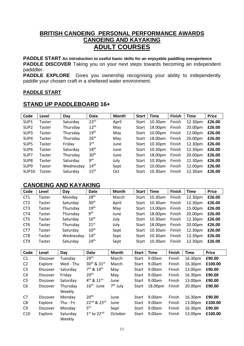### **BRITISH CANOEING PERSONAL PERFORMANCE AWARDS CANOEING AND KAYAKING ADULT COURSES**

**PADDLE START An introduction to useful basic skills for an enjoyable paddling exexperience**

**PADDLE DISCOVER** Taking you on your next steps towards becoming an independent padddler.

**PADDLE EXPLORE** Gives you ownership recognising your ability to independently paddle your chosen craft in a sheltered water environment.

#### **PADDLE START**

### **STAND UP PADDLEBOARD 16+**

| Code              | Level  | Day       | <b>Date</b>      | Month | <b>Start</b> | <b>Time</b> | Finish | <b>Time</b> | <b>Price</b> |
|-------------------|--------|-----------|------------------|-------|--------------|-------------|--------|-------------|--------------|
| SUP <sub>1</sub>  | Taster | Saturday  | 23 <sup>rd</sup> | April | Start        | 10.30am     | Finish | 12.30pm     | £26.00       |
| SUP <sub>2</sub>  | Taster | Thursday  | $12^{th}$        | May   | Start        | 18.00pm     | Finish | 20.00pm     | £26.00       |
| SUP <sub>3</sub>  | Taster | Thursday  | 19 <sup>th</sup> | May   | Start        | 10.00pm     | Finish | 12.00pm     | £26.00       |
| SUP4              | Taster | Thursday  | 26 <sup>th</sup> | May   | Start        | 18.00am     | Finish | 20.00pm     | £26.00       |
| SUP <sub>5</sub>  | Taster | Friday    | 3 <sup>rd</sup>  | June  | Start        | 10.30pm     | Finish | 12.30pm     | £26.00       |
| SUP <sub>6</sub>  | Taster | Saturday  | 18 <sup>th</sup> | June  | Start        | 10.30pm     | Finish | 12.30pm     | £26.00       |
| SUP7              | Taster | Thursday  | 30 <sup>th</sup> | June  | Start        | 18.00pm     | Finish | 20.00pm     | £26.00       |
| SUP <sub>8</sub>  | Taster | Saturday  | 9 <sup>th</sup>  | July  | Start        | 10.30pm     | Finish | 12.30pm     | £26.00       |
| SUP <sub>9</sub>  | Taster | Wednesday | 14 <sup>th</sup> | Sept  | Start        | 10.00am     | Finish | 12.00pm     | £26.00       |
| SUP <sub>10</sub> | Taster | Saturday  | 15 <sup>th</sup> | Oct   | Start        | 10.30am     | Finish | 12.30am     | £26.00       |

### **CANOEING AND KAYAKING**

| Code            | Level           | Day                | Date                               | <b>Month</b>         | <b>Start</b> | <b>Time</b> | Finish        | <b>Time</b> | <b>Price</b> |
|-----------------|-----------------|--------------------|------------------------------------|----------------------|--------------|-------------|---------------|-------------|--------------|
| CT <sub>1</sub> | Taster          | Monday             | 28 <sup>th</sup>                   | March                | Start        | 10.30am     | Finish        | 12.30pm     | £26.00       |
| CT <sub>2</sub> | Taster          | Saturday           | 30 <sup>th</sup>                   | April                | <b>Start</b> | 10.30am     | Finish        | 12.30pm     | £26.00       |
| CT <sub>3</sub> | <b>Taster</b>   | Thursday           | 19 <sup>th</sup>                   | May                  | Start        | 13.00pm     | Finish        | 15.00pm     | £26.00       |
| CT4             | Taster          | Thursday           | 9 <sup>th</sup>                    | June                 | <b>Start</b> | 18.00pm     | Finish        | 20.00pm     | £26.00       |
| CT <sub>5</sub> | Taster          | Saturday           | 16 <sup>th</sup>                   | July                 | <b>Start</b> | 10.30am     | Finish        | 12.30pm     | £26.00       |
| CT <sub>6</sub> | Taster          | Thursday           | $21^{st}$                          | July                 | <b>Start</b> | 18.00pm     | Finish        | 20.00pm     | £26.00       |
| CT7             | Taster          | Saturday           | 10 <sup>th</sup>                   | Sept                 | <b>Start</b> | 10.30am     | Finish        | 12.30pm     | £26.00       |
| CT <sub>8</sub> | Taster          | Wednesday          | 14 <sup>th</sup>                   | Sept                 | Start        | 10.30am     | Finish        | 12.30pm     | £26.00       |
| CT <sub>9</sub> | Taster          | Saturday           | 24 <sup>th</sup>                   | Sept                 | <b>Start</b> | 10.30am     | Finish        | 12.30pm     | £26.00       |
|                 |                 |                    |                                    |                      |              |             |               |             |              |
| Code            | Level           | Day                | <b>Date</b>                        | Month                | <b>Start</b> | <b>Time</b> | <b>Finish</b> | <b>Time</b> | <b>Price</b> |
| C1              | Discover        | Tuesday            | 29 <sup>th</sup>                   | March                | Start        | 9.00am      | Finish        | 16.30pm     | £90.00       |
| C <sub>2</sub>  | Explore         | Wed - Thu          | $30^{th}$ & $31^{st}$              | March                | <b>Start</b> | 9.00am      | Finish        | 16.30pm     | £100.00      |
| C <sub>3</sub>  | <b>Discover</b> | Saturday           | 7 <sup>th</sup> & 14 <sup>th</sup> | May                  | <b>Start</b> | 9.00am      | Finish        | 13.00pm     | £90.00       |
| C <sub>4</sub>  | Discover        | Friday             | 20 <sup>th</sup>                   | May                  | <b>Start</b> | 9.00am      | Finish        | 16.30pm     | £90.00       |
| C <sub>5</sub>  | Discover        | Saturday           | 4 <sup>th</sup> & 11 <sup>th</sup> | June                 | Start        | 9.00am      | Finish        | 13.00pm     | £90.00       |
| C <sub>6</sub>  | Discover        | Thursday           | $16^{\text{th}}$<br>June           | 7 <sup>th</sup> July | <b>Start</b> | 18.00pm     | Finish        | 20.00pm     | £90.00       |
|                 |                 | Weekly             |                                    |                      |              |             |               |             |              |
| C7              | Discover        | Monday             | 20 <sup>th</sup>                   | June                 | Start        | 9.00am      | Finish        | 16.30pm     | £90.00       |
| C8              | Explore         | Thu - Fri          | 22nd & 23rd                        | June                 | Start        | 9.00am      | Finish        | 13.00pm     | £100.00      |
| C <sub>9</sub>  | Discover        | Monday             | $5^{\text{th}}$                    | Sept                 | <b>Start</b> | 9.00am      | Finish        | 16.30pm     | £90.00       |
| C10             | Explore         | Saturday<br>Weekly | $1st$ to 22 <sup>nd</sup>          | October              | <b>Start</b> | 9.00am      | Finish        | 13.00pm     | £100.00      |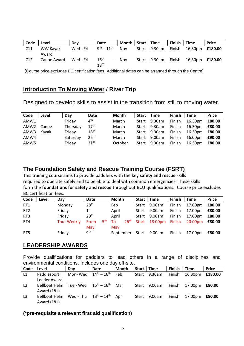| Code | Level             | Dav       | <b>Date</b>                          | Month   Start   Time |              | Finish   Time |                        | <b>Price</b> |
|------|-------------------|-----------|--------------------------------------|----------------------|--------------|---------------|------------------------|--------------|
| C11  | WW Kavak<br>Award | Wed - Fri | $9^{th} - 11^{th}$                   | <b>Nov</b>           | Start 9.30am | Finish        | 16.30pm <b>£180.00</b> |              |
| C12  | Canoe Award       | Wed - Fri | 16 <sup>th</sup><br>$18^{\text{th}}$ | $-$ Nov              | Start 9.30am | Finish        | 16.30pm <b>£180.00</b> |              |

(Course price excludes BC certification fees. Additional dates can be arranged through the Centre)

### **Introduction To Moving Water / River Trip**

Designed to develop skills to assist in the transition from still to moving water.

| Code             | Level | Dav      | Date             | Month   | Start | <b>Time</b> | <b>Finish</b> | <b>Time</b> | <b>Price</b> |
|------------------|-------|----------|------------------|---------|-------|-------------|---------------|-------------|--------------|
| AMW1             |       | Friday   | $4^{\text{th}}$  | March   | Start | 9.30am      | Finish        | 16.30pm     | £80.00       |
| AMW <sub>2</sub> | Canoe | Thursday | 17 <sup>th</sup> | March   | Start | 9.30am      | Finish        | 16.30pm     | £80.00       |
| AMW3             | Kavak | Friday   | 18 <sup>th</sup> | March   | Start | 9.30am      | Finish        | 16.30pm     | £80.00       |
| AMW4             |       | Saturday | 26 <sup>th</sup> | March   | Start | 9.00am      | Finish        | 16.00pm     | £90.00       |
| AMW5             |       | Friday   | $21^{st}$        | October | Start | 9.30am      | Finish        | 16.30pm     | £80.00       |

### **The Foundation Safety and Rescue Training Course (FSRT)**

This training course aims to provide paddlers with the key **safety and rescue** skills required to operate safely and to be able to deal with common emergencies. These skills form the **foundations for safety and rescue** throughout BCU qualifications. Course price excludes BC certification fees.

| Code            | Level | Dav         | Date                    | Month                  | Start | <b>Time</b> | <b>Finish</b> | <b>Time</b> | <b>Price</b> |
|-----------------|-------|-------------|-------------------------|------------------------|-------|-------------|---------------|-------------|--------------|
| RT1             |       | Monday      | 28 <sup>th</sup>        | Feb                    | Start | 9.00am      | Finish        | 17.00pm     | £80.00       |
| RT <sub>2</sub> |       | Friday      | 1 <sup>st</sup>         | April                  | Start | 9.00am      | Finish        | 17.00pm     | £80.00       |
| RT <sub>3</sub> |       | Friday      | 29 <sup>th</sup>        | April                  | Start | 9.00am      | Finish        | 17.00pm     | £80.00       |
| RT4             |       | Thur Weekly | 5 <sup>th</sup><br>From | 26 <sup>th</sup><br>To | Start | 18:00pm     | Finish        | 20:00pm     | £80.00       |
|                 |       |             | May                     | May                    |       |             |               |             |              |
| RT5             |       | Friday      | 9 <sup>th</sup>         | September              | Start | 9.00am      | Finish        | 17.00pm     | £80.00       |

### **LEADERSHIP AWARDS**

Provide qualifications for paddlers to lead others in a range of disciplines and environmental conditions. Includes one day off-site.

| Code | Level                                                                    | Dav                                       | Date | <b>Month</b> | Start | l Time       | <b>Finish</b> | Time    | <b>Price</b> |
|------|--------------------------------------------------------------------------|-------------------------------------------|------|--------------|-------|--------------|---------------|---------|--------------|
| L1   | Paddlesport<br>Leader Award                                              | Mon-Wed $14^{\text{th}} - 16^{\text{th}}$ |      | Feb          |       | Start 9.30am | Finish        | 16.30pm | £180.00      |
| L2   | Bellboat Helm Tue - Wed $15^{\text{th}} - 16^{\text{th}}$<br>Award (18+) |                                           |      | Mar          |       | Start 9.00am | Finish        | 17.00pm | £80.00       |
| L3   | Bellboat Helm<br>Award (18+)                                             | Wed-Thu $13^{\text{th}} - 14^{\text{th}}$ |      | Apr          |       | Start 9.00am | Finish        | 17.00pm | £80.00       |

### **(\*pre-requisite a relevant first aid qualification)**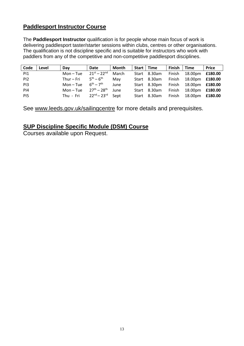# **Paddlesport Instructor Course**

The **Paddlesport Instructor** qualification is for people whose main focus of work is delivering paddlesport taster/starter sessions within clubs, centres or other organisations. The qualification is not discipline specific and is suitable for instructors who work with paddlers from any of the competitive and non-competitive paddlesport disciplines.

| Code | Level | Dav                           | Date                              | Month | Start   Time |              | <b>Finish</b> | <b>Time</b> | <b>Price</b> |
|------|-------|-------------------------------|-----------------------------------|-------|--------------|--------------|---------------|-------------|--------------|
| PI1  |       | Mon – Tue                     | $21^{st} - 22^{nd}$               | March |              | Start 8.30am | Finish        | 18.00pm     | £180.00      |
| PI2  |       | Thur $-$ Fri                  | $5^{th} - 6^{th}$                 | Mav   |              | Start 8.30am | Finish        | 18.00pm     | £180.00      |
| PI3  |       | $Mon - Tue$                   | $6^{\text{th}} - 7^{\text{th}}$   | June  |              | Start 8.30pm | Finish        | 18.00pm     | £180.00      |
| PI4  |       | Mon – Tue                     | $27^{\text{th}} - 28^{\text{th}}$ | June  |              | Start 8.30am | Finish        | 18.00pm     | £180.00      |
| PI5  |       | Thu - Fri $22^{nd} - 23^{rd}$ |                                   | Sept  |              | Start 8.30am | Finish        | 18.00pm     | £180.00      |

See [www.leeds.gov.uk/sailingcentre](http://www.leeds.gov.uk/sailingcentre) for more details and prerequisites.

### **SUP Discipline Specific Module (DSM) Course**

Courses available upon Request.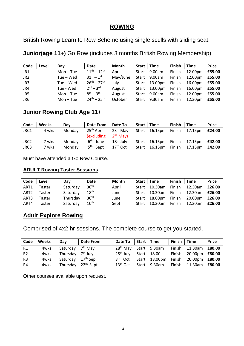### **ROWING**

British Rowing Learn to Row Scheme,using single sculls with sliding seat.

**Junior(age 11+)** Go Row (includes 3 months British Rowing Membership)

| Code            | Level | Day         | Date                | Month    | Start | <b>Time</b> | <b>Finish</b> | <b>Time</b> | <b>Price</b> |
|-----------------|-------|-------------|---------------------|----------|-------|-------------|---------------|-------------|--------------|
| JR1             |       | $Mon - Tue$ | $11^{th} - 12^{th}$ | April    | Start | 9.00am      | Finish        | 12.00pm     | £55.00       |
| JR <sub>2</sub> |       | Tue – Wed   | $31^{st} - 1^{st}$  | May/June | Start | 9.00am      | Finish        | 12.00pm     | £55.00       |
| JR3             |       | Tue – Wed   | $26^{th} - 27^{th}$ | July     | Start | 13.00pm     | Finish        | 16.00pm     | £55.00       |
| JR4             |       | Tue - Wed   | $2^{nd} - 3^{rd}$   | August   | Start | 13.00pm     | Finish        | 16.00pm     | £55.00       |
| JR5             |       | $Mon - Tue$ | $R^{th} - Q^{th}$   | August   | Start | 9.00am      | Finish        | 12.00pm     | £55.00       |
| JR6             |       | $Mon - Tue$ | $24^{th} - 25^{th}$ | October  | Start | 9.30am      | Finish        | 12.30pm     | £55.00       |

# **Junior Rowing Club Age 11+**

| Code | <b>Weeks</b> | Dav    | <b>Date From</b>       | Date To     |              | Start   Time | Finish | <b>Time</b>           | <b>Price</b> |
|------|--------------|--------|------------------------|-------------|--------------|--------------|--------|-----------------------|--------------|
| JRC1 | 4 wks        | Monday | 25 <sup>th</sup> April | $23rd$ Mav  | Start        | 16.15pm      | Finish | 17.15pm               | £24.00       |
|      |              |        | <i>(excluding)</i>     | $2nd$ May)  |              |              |        |                       |              |
| JRC2 | 7 wks        | Monday | 6 <sup>th</sup> June   | $18th$ July | Start        | 16.15pm      | Finish | 17.15pm <b>£42.00</b> |              |
| JRC3 | 7 wks        | Mondav | $5th$ Sept             | $17th$ Oct  | <b>Start</b> | 16.15pm      | Finish | 17.15pm <b>£42.00</b> |              |

Must have attended a Go Row Course.

### **ADULT Rowing Taster Sessions**

| Code | Level  | Day      | <b>Date</b>      | Month | Start   Time |               | <b>Finish</b> | <b>Time</b>                         | <b>Price</b> |
|------|--------|----------|------------------|-------|--------------|---------------|---------------|-------------------------------------|--------------|
| ART1 | Taster | Saturday | 30 <sup>th</sup> | April | Start        | 10.30am       | Finish        | 12.30am                             | £26.00       |
| ART2 | Taster | Saturday | 18 <sup>th</sup> | June  |              |               |               | Start 10.30am Finish 12.30am £26.00 |              |
| ART3 | Taster | Thursday | 30 <sup>th</sup> | June  |              |               |               | Start 18.00pm Finish 20.00pm £26.00 |              |
| ART4 | Taster | Saturday | 10 <sup>th</sup> | Sept  |              | Start 10.30am |               | Finish 12.30am <b>£26.00</b>        |              |

# **Adult Explore Rowing**

Comprised of 4x2 hr sessions. The complete course to get you started.

| Code           | <b>Weeks</b> | Dav                            | <b>Date From</b> | Date To   Start   Time |  | Finish Time |                                                                 | <b>Price</b> |
|----------------|--------------|--------------------------------|------------------|------------------------|--|-------------|-----------------------------------------------------------------|--------------|
| R1             | 4wks         | Saturday 7 <sup>th</sup> May   |                  |                        |  |             | 28 <sup>th</sup> May Start 9.30am Finish 11.30am £80.00         |              |
| R <sub>2</sub> | 4wks         | Thursday 7 <sup>th</sup> July  |                  |                        |  |             | $28^{th}$ July Start 18.00 Finish 20.00pm $\pmb{\text{E80.00}}$ |              |
| R <sub>3</sub> | 4wks         | Saturday 17 <sup>th</sup> Sep  |                  | $8th$ Oct              |  |             | Start 18.00pm Finish 20.00pm £80.00                             |              |
| R4             | 4wks         | Thursday 22 <sup>nd</sup> Sept |                  | $13^{\mathsf{th}}$ Oct |  |             | Start 9.30am Finish 11.30am £80.00                              |              |

Other courses available upon request.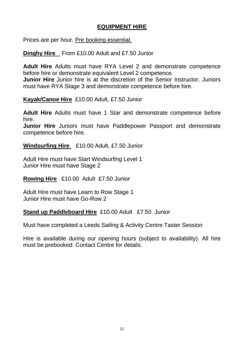# **EQUIPMENT HIRE**

Prices are per hour. Pre booking essential.

**Dinghy Hire** From £10.00 Adult and £7.50 Junior

**Adult Hire** Adults must have RYA Level 2 and demonstrate competence before hire or demonstrate equivalent Level 2 competence.

**Junior Hire** Junior hire is at the discretion of the Senior Instructor. Juniors must have RYA Stage 3 and demonstrate competence before hire.

**Kayak/Canoe Hire** £10.00 Adult, £7.50 Junior

**Adult Hire** Adults must have 1 Star and demonstrate competence before hire.

**Junior Hire** Juniors must have Paddlepower Passport and demonstrate competence before hire.

**Windsurfing Hire** £10.00 Adult, £7.50 Junior

Adult Hire must have Start Windsurfing Level 1 Junior Hire must have Stage 2

**Rowing Hire** £10.00 Adult £7.50 Junior

Adult Hire must have Learn to Row Stage 1 Junior Hire must have Go-Row 2

**Stand up Paddleboard Hire** £10.00 Adult £7.50 Junior

Must have completed a Leeds Sailing & Activity Centre Taster Session

Hire is available during our opening hours (subject to availability). All hire must be prebooked. Contact Centre for details.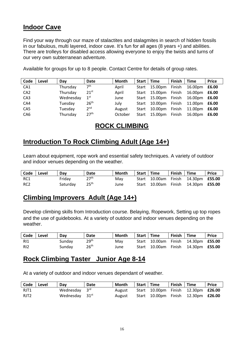# **Indoor Cave**

Find your way through our maze of stalactites and stalagmites in search of hidden fossils in our fabulous, multi layered, indoor cave. It's fun for all ages (8 years +) and abilities. There are trolleys for disabled access allowing everyone to enjoy the twists and turns of our very own subterranean adventure.

Available for groups for up to 8 people. Contact Centre for details of group rates.

| Code            | Level | Day       | Date             | Month   |       | Start   Time         | Finish | Time                 | <b>Price</b> |
|-----------------|-------|-----------|------------------|---------|-------|----------------------|--------|----------------------|--------------|
| CA1             |       | Thursday  | 7 <sup>th</sup>  | April   |       | Start 15.00pm        | Finish | 16.00pm              | £6.00        |
| CA <sub>2</sub> |       | Thursday  | $21^{st}$        | April   | Start | 15.00pm Finish       |        | 16.00pm              | £6.00        |
| CA <sub>3</sub> |       | Wednesday | 1 <sup>st</sup>  | June    |       | Start 15.00pm Finish |        | 16.00pm <b>£6.00</b> |              |
| CA4             |       | Tuesday   | 26 <sup>th</sup> | July    | Start | 10.00pm              | Finish | 11.00pm £6.00        |              |
| CA <sub>5</sub> |       | Tuesday   | 2 <sup>nd</sup>  | August  | Start | 10.00pm              | Finish | 11.00pm              | £6.00        |
| CA <sub>6</sub> |       | Thursday  | 27 <sup>th</sup> | October | Start | 15.00pm Finish       |        | 16.00pm              | £6.00        |

# **ROCK CLIMBING**

# **Introduction To Rock Climbing Adult (Age 14+)**

Learn about equipment, rope work and essential safety techniques. A variety of outdoor and indoor venues depending on the weather.

| <b>Code</b> | l Level | Dav      | Date             | Month | Start   Time | Finish   Time |                                            | <b>Price</b> |
|-------------|---------|----------|------------------|-------|--------------|---------------|--------------------------------------------|--------------|
| RC1         |         | Fridav   | 27 <sup>th</sup> | Mav   |              |               | Start 10.00am Finish 14.30pm £55.00        |              |
| RC2         |         | Saturdav | 25 <sup>th</sup> | June  |              |               | Start 10.00am Finish 14.30pm <b>£55.00</b> |              |

# **Climbing Improvers Adult (Age 14+)**

Develop climbing skills from Introduction course. Belaying, Ropework, Setting up top ropes and the use of guidebooks. At a variety of outdoor and indoor venues depending on the weather.

| Code  | l Level | Dav    | Date             | Month | Start   Time | Finish   Time |                                            | <b>Price</b> |
|-------|---------|--------|------------------|-------|--------------|---------------|--------------------------------------------|--------------|
| - RI1 |         | Sunday | 29 <sup>th</sup> | Mav   |              |               | Start 10.00am Finish 14.30pm <b>£55.00</b> |              |
| RI2   |         | Sundav | 26 <sup>th</sup> | June  |              |               | Start 10.00am Finish 14.30pm <b>£55.00</b> |              |

# **Rock Climbing Taster Junior Age 8-14**

At a variety of outdoor and indoor venues dependant of weather.

| Code   Level | Dav                       | Date | Month  | Start   Time | Finish Time |                                            | Price |
|--------------|---------------------------|------|--------|--------------|-------------|--------------------------------------------|-------|
| RJT1         | Wednesday $3^{\text{rd}}$ |      | August |              |             | Start 10.00pm Finish 12.30pm <b>£26.00</b> |       |
| RJT2         | Wednesday $31st$          |      | August |              |             | Start 10.00pm Finish 12.30pm <b>£26.00</b> |       |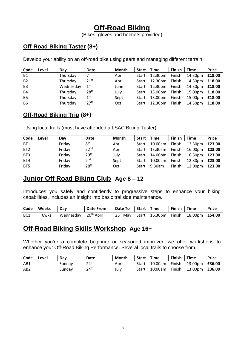# **Off-Road Biking**

(Bikes, gloves and helmets provided).

# **Off-Road Biking Taster (8+)**

Develop your ability on an off-road bike using gears and managing different terrain.

| Code           | Level | Day       | Date             | Month |       | Start   Time         | Finish $ $ Time |                       | <b>Price</b> |
|----------------|-------|-----------|------------------|-------|-------|----------------------|-----------------|-----------------------|--------------|
| <b>B1</b>      |       | Thursday  | 7 <sup>th</sup>  | April |       | Start 12.30pm        | Finish          | 14.30pm <b>£18.00</b> |              |
| B <sub>2</sub> |       | Thursday  | 21 <sup>st</sup> | April |       | Start 12.30pm        | Finish          | 14.30pm <b>£18.00</b> |              |
| B <sub>3</sub> |       | Wednesday | $1^{\rm st}$     | June  |       | Start 12.30pm        | Finish          | 14.30pm <b>£18.00</b> |              |
| <b>B4</b>      |       | Thursday  | 28 <sup>th</sup> | July  |       | Start 13.00pm Finish |                 | 15.00pm <b>£18.00</b> |              |
| B <sub>5</sub> |       | Thursday  | 1 <sup>st</sup>  | Sept  | Start | 13.00pm Finish       |                 | 15.00pm <b>£18.00</b> |              |
| <b>B6</b>      |       | Thursday  | 27 <sup>th</sup> | Oct   | Start | 12.30pm Finish       |                 | 14.30pm <b>£18.00</b> |              |

# **Off-Road Biking Trip (8+)**

Using local trails (must have attended a LSAC Biking Taster)

| Code            | Level | Dav    | <b>Date</b>      | Month | <b>Start</b> | Time                 | Finish | <b>Time</b>           | <b>Price</b> |
|-----------------|-------|--------|------------------|-------|--------------|----------------------|--------|-----------------------|--------------|
| BT1             |       | Friday | 8 <sup>th</sup>  | April | Start        | 10.00am              | Finish | 12.30pm <b>£23.00</b> |              |
| BT <sub>2</sub> |       | Friday | 22 <sup>nd</sup> | April | Start        | 13.30am              | Finish | 16.00pm <b>£23.00</b> |              |
| BT3             |       | Friday | 29 <sup>th</sup> | July  |              | Start 14.00pm Finish |        | 16.30pm <b>£23.00</b> |              |
| BT4             |       | Friday | 2 <sup>nd</sup>  | Sept  | Start        | 10.00am              | Finish | 12.30pm <b>£23.00</b> |              |
| BT5             |       | Friday | 28 <sup>th</sup> | Oct   | Start        | 9.30am               | Finish | 12.00pm               | £23.00       |

# **Junior Off Road Biking Club Age 8 – 12**

Introduces you safely and confidently to progressive steps to enhance your biking capabilities. Includes an insight into basic trailside maintenance.

|     | Code   Weeks | ∣ Dav                            | Date From   Date To   Start   Time |  | Finish   Time |                                                  | <b>Price</b> |
|-----|--------------|----------------------------------|------------------------------------|--|---------------|--------------------------------------------------|--------------|
| BC1 | 6wks         | Wednesday 20 <sup>th</sup> April |                                    |  |               | $25th$ May Start 16.30pm Finish 18.00pm $£54.00$ |              |

# **Off-Road Biking Skills Workshop Age 16+**

Whether you're a complete beginner or seasoned improver, we offer workshops to enhance your Off-Road Biking Performance. Several local trails to choose from.

| Code            | Level | Dav    | Date             | Month | Start Time | Finish Time |                                            | <b>Price</b> |
|-----------------|-------|--------|------------------|-------|------------|-------------|--------------------------------------------|--------------|
| AB1             |       | Sunday | 24 <sup>th</sup> | April |            |             | Start 10.00am Finish 13.00pm £36.00        |              |
| AB <sub>2</sub> |       | Sundav | 24 <sup>th</sup> | Julv  |            |             | Start 10:00am Finish 13:00pm <b>£36.00</b> |              |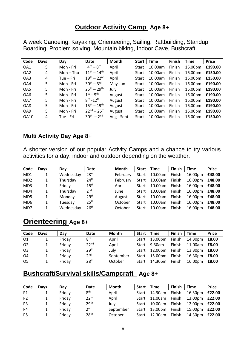# **Outdoor Activity Camp Age 8+**

A week Canoeing, Kayaking, Orienteering, Sailing, Raftbuilding, Standup Boarding, Problem solving, Mountain biking, Indoor Cave, Bushcraft.

| Code            | Days | Day       | Date                       | Month      | <b>Start</b> | <b>Time</b> | <b>Finish</b> | <b>Time</b> | <b>Price</b> |
|-----------------|------|-----------|----------------------------|------------|--------------|-------------|---------------|-------------|--------------|
| OA1             | 5    | Mon - Fri | $4^{th} - 8^{th}$          | April      | Start        | 10.00am     | Finish        | 16.00pm     | £190.00      |
| OA <sub>2</sub> | 4    | Mon – Thu | $11^{th} - 14^{th}$        | April      | Start        | 10.00am     | Finish        | 16.00pm     | £150.00      |
| OA3             | 4    | Tue – Fri | $19^{th} - 22^{nd}$        | April      | Start        | 10.00am     | Finish        | 16.00pm     | £150.00      |
| OA4             | 5    | Mon - Fri | $30^{th} - 3^{rd}$         | May-Jun    | Start        | 10.00am     | Finish        | 16.00pm     | £190.00      |
| OA5             | 5    | Mon - Fri | $25^{th} - 29^{th}$        | July       | Start        | 10.00am     | Finish        | 16.00pm     | £190.00      |
| OA6             | 5    | Mon - Fri | $1^{st} - 5^{th}$          | August     | Start        | 10.00am     | Finish        | 16.00pm     | £190.00      |
| OA7             | 5.   | Mon - Fri | $8^{th}$ -12 <sup>th</sup> | August     | Start        | 10.00am     | Finish        | 16.00pm     | £190.00      |
| OA8             | 5    | Mon - Fri | $15^{th} - 19^{th}$        | August     | Start        | 10.00am     | Finish        | 16.00pm     | £190.00      |
| OA9             | 5    | Mon - Fri | $22^{nd} - 26^{th}$        | August     | Start        | 10.00am     | Finish        | 16.00pm     | £190.00      |
| <b>OA10</b>     | 4    | Tue - Fri | $30^{th} - 2^{nd}$         | Aug - Sept | Start        | 10.00am     | Finish        | 16.00pm     | £150.00      |

### **Multi Activity Day Age 8+**

A shorter version of our popular Activity Camps and a chance to try various activities for a day, indoor and outdoor depending on the weather.

| Code            | <b>Days</b> | Day       | Date             | Month    | Start I | Time    | <b>Finish</b> | <b>Time</b> | <b>Price</b> |
|-----------------|-------------|-----------|------------------|----------|---------|---------|---------------|-------------|--------------|
| MD1             | 1           | Wednesday | 23 <sup>rd</sup> | February | Start   | 10.00am | Finish        | 16.00pm     | £48.00       |
| MD <sub>2</sub> | 1           | Thursday  | 24 <sup>th</sup> | February | Start   | 10.00am | Finish        | 16.00pm     | £48.00       |
| MD3             | 1           | Friday    | 15 <sup>th</sup> | April    | Start   | 10.00am | Finish        | 16.00pm     | £48.00       |
| MD4             |             | Thursday  | 2 <sup>nd</sup>  | June     | Start   | 10.00am | Finish        | 16.00pm     | £48.00       |
| MD5             | 1           | Monday    | 29 <sup>th</sup> | August   | Start   | 10.00am | Finish        | 16.00pm     | £48.00       |
| MD <sub>6</sub> | 1           | Tuesday   | 25 <sup>th</sup> | October  | Start   | 10.00am | Finish        | 16.00pm     | £48.00       |
| MD7             |             | Wednesday | 26 <sup>th</sup> | October  | Start   | 10.00am | Finish        | 16.00pm     | £48.00       |

# **Orienteering Age 8+**

| Code | <b>Davs</b> | Dav    | Date             | Month     |       | Start   Time  | Finish        | <b>Time</b>          | <b>Price</b> |
|------|-------------|--------|------------------|-----------|-------|---------------|---------------|----------------------|--------------|
| 01   |             | Friday | 8 <sup>th</sup>  | April     | Start | 13.00pm       | Finish        | 14.30pm <b>£8.00</b> |              |
| O2   |             | Friday | 22 <sup>nd</sup> | April     | Start | 9.30am        | <b>Finish</b> | 11.00am              | £8.00        |
| O3   |             | Friday | 29 <sup>th</sup> | Julv      |       | Start 12.00pm | Finish        | 13.30pm <b>£8.00</b> |              |
| O4   |             | Friday | 2 <sup>nd</sup>  | September | Start | 15.00pm       | Finish        | 16.30pm <b>£8.00</b> |              |
| O5   |             | Friday | 28 <sup>th</sup> | October   | Start | 14.30pm       | Finish        | 16.00pm <b>£8.00</b> |              |

# **Bushcraft/Survival skills/Campcraft Age 8+**

| Code           | <b>Days</b> | Dav    | Date             | Month     | Start | Time    | Finish | <b>Time</b>           | <b>Price</b> |
|----------------|-------------|--------|------------------|-----------|-------|---------|--------|-----------------------|--------------|
| P1             |             | Friday | 8 <sup>th</sup>  | April     | Start | 14.30am | Finish | 16.30pm <b>£22.00</b> |              |
| <b>P2</b>      |             | Friday | 22 <sup>nd</sup> | April     | Start | 11.00am | Finish | 13.00pm <b>£22.00</b> |              |
| P3             |             | Friday | 29 <sup>th</sup> | Julv      | Start | 10.00am | Finish | 12.00pm <b>£22.00</b> |              |
| P4             |             | Friday | 2 <sup>nd</sup>  | September | Start | 13.00pm | Finish | 15.00pm               | £22.00       |
| P <sub>5</sub> |             | Friday | 28 <sup>th</sup> | October   | Start | 12.30am | Finish | 14.30pm               | £22.00       |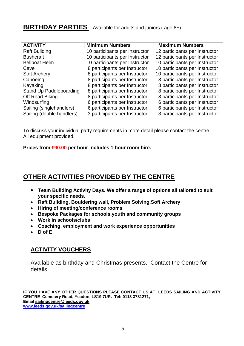# **BIRTHDAY PARTIES** Available for adults and juniors (age 8+)

| <b>ACTIVITY</b>           | <b>Minimum Numbers</b>         | <b>Maximum Numbers</b>         |
|---------------------------|--------------------------------|--------------------------------|
| <b>Raft Building</b>      | 10 participants per Instructor | 12 participants per Instructor |
| <b>Bushcraft</b>          | 10 participants per Instructor | 12 participants per Instructor |
| <b>Bellboat Helm</b>      | 10 participants per Instructor | 10 participants per Instructor |
| Cave                      | 8 participants per Instructor  | 10 participants per Instructor |
| <b>Soft Archery</b>       | 8 participants per Instructor  | 10 participants per Instructor |
| Canoeing                  | 8 participants per Instructor  | 8 participants per Instructor  |
| Kayaking                  | 8 participants per Instructor  | 8 participants per Instructor  |
| Stand Up Paddleboarding   | 8 participants per Instructor  | 8 participants per Instructor  |
| Off Road Biking           | 8 participants per Instructor  | 8 participants per Instructor  |
| Windsurfing               | 6 participants per Instructor  | 6 participants per Instructor  |
| Sailing (singlehandlers)  | 6 participants per Instructor  | 6 participants per Instructor  |
| Sailing (double handlers) | 3 participants per Instructor  | 3 participants per Instructor  |

To discuss your individual party requirements in more detail please contact the centre. All equipment provided.

**Prices from £90.00 per hour includes 1 hour room hire.**

# **OTHER ACTIVITIES PROVIDED BY THE CENTRE**

- **Team Building Activity Days. We offer a range of options all tailored to suit your specific needs.**
- **Raft Building, Bouldering wall, Problem Solving,Soft Archery**
- **Hiring of meeting/conference rooms**
- **Bespoke Packages for schools,youth and community groups**
- **Work in schools/clubs**
- **Coaching, employment and work experience opportunities**
- **D of E**

### **ACTIVITY VOUCHERS**

Available as birthday and Christmas presents. Contact the Centre for details

**IF YOU HAVE ANY OTHER QUESTIONS PLEASE CONTACT US AT LEEDS SAILING AND ACTIVITY CENTRE Cemetery Road, Yeadon, LS19 7UR. Tel: 0113 3781271, Email [sailingcentre@leeds.gov.uk](mailto:sailingcentre@leeds.gov.uk) [www.leeds.gov.uk/sailingcentre](http://www.leeds.gov.uk/sailingcentre)**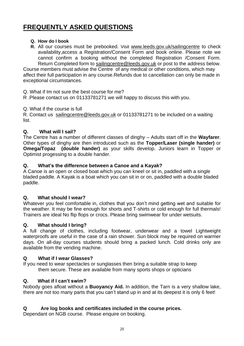# **FREQUENTLY ASKED QUESTIONS**

### **Q. How do I book**

**R.** All our courses must be prebooked. Visit [www.leeds.gov.uk/sailingcentre](http://www.leeds.gov.uk/sailingcentre) to check availability,access a Registration/Consent Form and book online. Please note we cannot confirm a booking without the completed Registration /Consent Form. Return Completed form to sailingcentre@leeds.gov.uk or post to the address below.

Course members must advise the Centre of any medical or other conditions, which may affect their full participation in any course.Refunds due to cancellation can only be made in exceptional circumstances.

Q. What if Im not sure the best course for me?

R .Please contact us on 01133781271 we will happy to discuss this with you.

Q. What if the course is full

R. Contact us sailingcentre@leeds.gov.uk or 01133781271 to be included on a waiting list.

### **Q. What will I sail?**

The Centre has a number of different classes of dinghy – Adults start off in the **Wayfarer**. Other types of dinghy are then introduced such as the **Topper/Laser (single hander)** or **Omega/Topaz (double hander)** as your skills develop. Juniors learn in Topper or Optimist progessing to a double hander.

### **Q. What's the difference between a Canoe and a Kayak?**

A Canoe is an open or closed boat which you can kneel or sit in, paddled with a single bladed paddle. A Kayak is a boat which you can sit in or on, paddled with a double bladed paddle.

### **Q. What should I wear?**

Whatever you feel comfortable in, clothes that you don't mind getting wet and suitable for the weather. It may be fine enough for shorts and T-shirts or cold enough for full thermals! Trainers are ideal No flip flops or crocs. Please bring swimwear for under wetsuits.

### **Q. What should I bring?**

A full change of clothes, including footwear, underwear and a towel Lightweight waterproofs are useful in the case of a rain shower. Sun block may be required on warmer days. On all-day courses students should bring a packed lunch. Cold drinks only are available from the vending machine.

### **Q What if I wear Glasses?**

If you need to wear spectacles or sunglasses then bring a suitable strap to keep them secure. These are available from many sports shops or opticians

### **Q. What if I can't swim?**

Nobody goes afloat without a **Buoyancy Aid.** In addition, the Tarn is a very shallow lake, there are not too many parts that you can't stand up in and at its deepest it is only 6 feet!

#### . **Q Are log books and certificates included in the course prices.**

Dependant on NGB course. Please enquire on booking.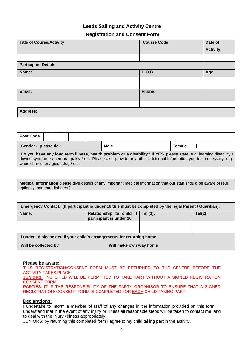#### **Leeds Sailing and Activity Centre**

### **Registration and Consent Form**

| <b>Title of Course/Activity</b>                                                                                                                                                                                                                                                   |                                                     | <b>Course Code</b>      |            | Date of         |  |  |  |  |  |
|-----------------------------------------------------------------------------------------------------------------------------------------------------------------------------------------------------------------------------------------------------------------------------------|-----------------------------------------------------|-------------------------|------------|-----------------|--|--|--|--|--|
|                                                                                                                                                                                                                                                                                   |                                                     |                         |            | <b>Activity</b> |  |  |  |  |  |
|                                                                                                                                                                                                                                                                                   |                                                     |                         |            |                 |  |  |  |  |  |
| <b>Participant Details</b>                                                                                                                                                                                                                                                        |                                                     |                         |            |                 |  |  |  |  |  |
| Name:                                                                                                                                                                                                                                                                             |                                                     | D.O.B                   |            | Age             |  |  |  |  |  |
|                                                                                                                                                                                                                                                                                   |                                                     |                         |            |                 |  |  |  |  |  |
| Email:                                                                                                                                                                                                                                                                            |                                                     | <b>Phone:</b>           |            |                 |  |  |  |  |  |
|                                                                                                                                                                                                                                                                                   |                                                     |                         |            |                 |  |  |  |  |  |
| <b>Address:</b>                                                                                                                                                                                                                                                                   |                                                     |                         |            |                 |  |  |  |  |  |
|                                                                                                                                                                                                                                                                                   |                                                     |                         |            |                 |  |  |  |  |  |
| <b>Post Code</b>                                                                                                                                                                                                                                                                  |                                                     |                         |            |                 |  |  |  |  |  |
| Gender - please tick                                                                                                                                                                                                                                                              |                                                     | <b>Female</b><br>$\sim$ |            |                 |  |  |  |  |  |
| Do you have any long term illness, health problem or a disability? If YES, please state, e.g. learning disability /<br>downs syndrome / cerebral palsy / etc. Please also provide any other additional information you feel necessary, e.g.<br>wheelchair user / guide dog / etc. |                                                     |                         |            |                 |  |  |  |  |  |
|                                                                                                                                                                                                                                                                                   |                                                     |                         |            |                 |  |  |  |  |  |
| Medical Information please give details of any important medical information that our staff should be aware of (e.g.<br>epilepsy, asthma, diabetes,).                                                                                                                             |                                                     |                         |            |                 |  |  |  |  |  |
|                                                                                                                                                                                                                                                                                   |                                                     |                         |            |                 |  |  |  |  |  |
| Emergency Contact. (If participant is under 16 this must be completed by the legal Parent / Guardian).                                                                                                                                                                            |                                                     |                         |            |                 |  |  |  |  |  |
| Name:                                                                                                                                                                                                                                                                             | Relationship to child if<br>participant is under 16 | Tel (1):                | $Tel(2)$ : |                 |  |  |  |  |  |
|                                                                                                                                                                                                                                                                                   |                                                     |                         |            |                 |  |  |  |  |  |
| If under 16 please detail your child's arrangements for returning home                                                                                                                                                                                                            |                                                     |                         |            |                 |  |  |  |  |  |
| Will be collected by                                                                                                                                                                                                                                                              | Will make own way home                              |                         |            |                 |  |  |  |  |  |

#### **Please be aware:**

THIS REGISTRATION/CONSENT FORM MUST BE RETURNED TO THE CENTRE BEFORE THE ACTIVITY TAKES PLACE. **JUNIORS**: NO CHILD WILL BE PERMITTED TO TAKE PART WITHOUT A SIGNED REGISTRATION

CONSENT FORM.

**PARTIES**: IT IS THE RESPONSIBILITY OF THE PARTY ORGANISOR TO ENSURE THAT A SIGNED REGISTRATION/ CONSENT FORM IS COMPLETED FOR EACH CHILD TAKING PART.

#### **Declarations:**

I undertake to inform a member of staff of any changes in the information provided on this form. I understand that in the event of any injury or illness all reasonable steps will be taken to contact me, and to deal with the injury / illness appropriately.

JUNIORS: by returning this completed form I agree to my child taking part in the activity.